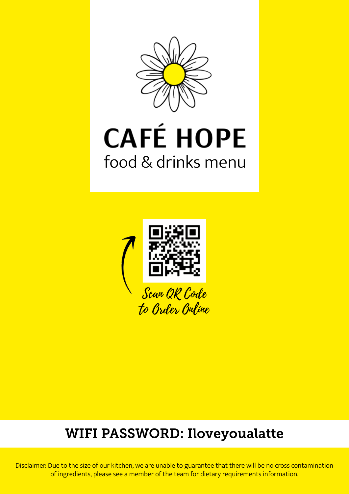

# **CAFÉ HOPE** food & drinks menu



## WIFI PASSWORD: Iloveyoualatte

Disclaimer: Due to the size of our kitchen, we are unable to guarantee that there will be no cross contamination of ingredients, please see a member of the team for dietary requirements information.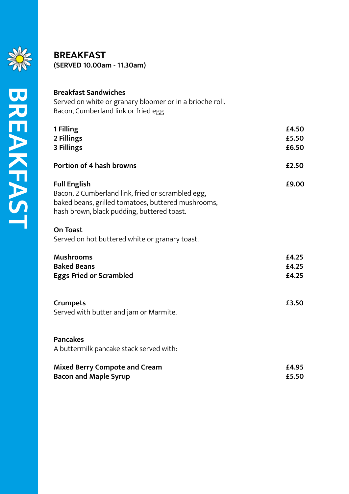

### **BREAKFAST (SERVED 10.00am - 11.30am)**

| <b>Breakfast Sandwiches</b><br>Served on white or granary bloomer or in a brioche roll.<br>Bacon, Cumberland link or fried egg                                               |                         |
|------------------------------------------------------------------------------------------------------------------------------------------------------------------------------|-------------------------|
| 1 Filling<br>2 Fillings<br>3 Fillings                                                                                                                                        | £4.50<br>£5.50<br>£6.50 |
| <b>Portion of 4 hash browns</b>                                                                                                                                              | £2.50                   |
| <b>Full English</b><br>Bacon, 2 Cumberland link, fried or scrambled egg,<br>baked beans, grilled tomatoes, buttered mushrooms,<br>hash brown, black pudding, buttered toast. | £9.00                   |
| <b>On Toast</b><br>Served on hot buttered white or granary toast.                                                                                                            |                         |
| <b>Mushrooms</b><br><b>Baked Beans</b><br><b>Eggs Fried or Scrambled</b>                                                                                                     | £4.25<br>£4.25<br>£4.25 |
| <b>Crumpets</b><br>Served with butter and jam or Marmite.                                                                                                                    | £3.50                   |
| <b>Pancakes</b><br>A buttermilk pancake stack served with:                                                                                                                   |                         |
| <b>Mixed Berry Compote and Cream</b><br><b>Bacon and Maple Syrup</b>                                                                                                         | £4.95<br>£5.50          |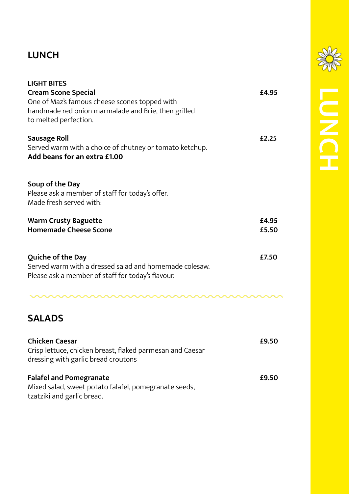## **LUNCH**

| <b>LIGHT BITES</b>                                                                                                                 |                |
|------------------------------------------------------------------------------------------------------------------------------------|----------------|
| <b>Cream Scone Special</b><br>One of Maz's famous cheese scones topped with<br>handmade red onion marmalade and Brie, then grilled | £4.95          |
| to melted perfection.                                                                                                              |                |
| <b>Sausage Roll</b><br>Served warm with a choice of chutney or tomato ketchup.<br>Add beans for an extra £1.00                     | £2.25          |
| Soup of the Day<br>Please ask a member of staff for today's offer.<br>Made fresh served with:                                      |                |
| <b>Warm Crusty Baguette</b><br><b>Homemade Cheese Scone</b>                                                                        | £4.95<br>£5.50 |
| Quiche of the Day<br>Served warm with a dressed salad and homemade colesaw.<br>Please ask a member of staff for today's flavour.   | £7.50          |
|                                                                                                                                    |                |
| <b>SALADS</b>                                                                                                                      |                |
| <b>Chicken Caesar</b><br>Crisp lettuce, chicken breast, flaked parmesan and Caesar<br>dressing with garlic bread croutons          | £9.50          |
| <b>Falafel and Pomegranate</b><br>Mixed salad, sweet potato falafel, pomegranate seeds,                                            | £9.50          |

tzatziki and garlic bread.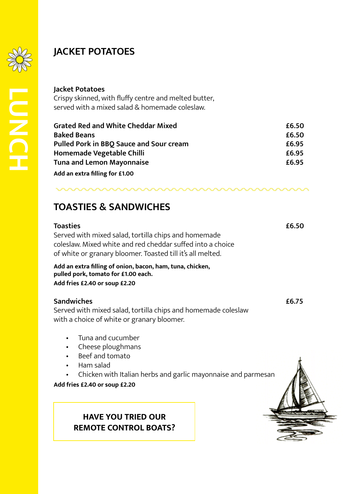

**LUNCH**

## **JACKET POTATOES**

#### **Jacket Potatoes**

Crispy skinned, with fluffy centre and melted butter, served with a mixed salad & homemade coleslaw.

| <b>Grated Red and White Cheddar Mixed</b>      | £6.50 |
|------------------------------------------------|-------|
| <b>Baked Beans</b>                             | £6.50 |
| <b>Pulled Pork in BBO Sauce and Sour cream</b> | £6.95 |
| Homemade Vegetable Chilli                      | £6.95 |
| <b>Tuna and Lemon Mayonnaise</b>               | £6.95 |
| Add an extra filling for £1.00                 |       |

## **TOASTIES & SANDWICHES**

#### **Toasties £6.50** Served with mixed salad, tortilla chips and homemade coleslaw. Mixed white and red cheddar suffed into a choice of white or granary bloomer. Toasted till it's all melted. **Add an extra filling of onion, bacon, ham, tuna, chicken, pulled pork, tomato for £1.00 each. Add fries £2.40 or soup £2.20**

#### **Sandwiches £6.75**

Served with mixed salad, tortilla chips and homemade coleslaw with a choice of white or granary bloomer.

- Tuna and cucumber
- Cheese ploughmans
- Beef and tomato
- Ham salad
- Chicken with Italian herbs and garlic mayonnaise and parmesan

**Add fries £2.40 or soup £2.20**



### **HAVE YOU TRIED OUR REMOTE CONTROL BOATS?**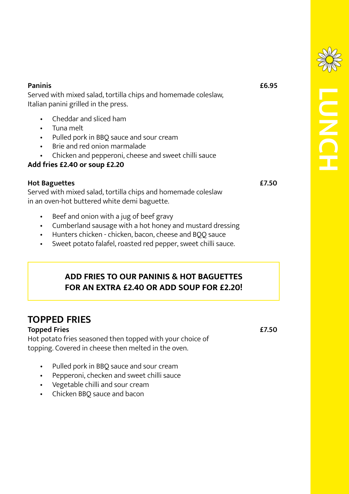| <b>Paninis</b>                                                 | £6.95 |
|----------------------------------------------------------------|-------|
| Served with mixed salad, tortilla chips and homemade coleslaw, |       |
| Italian panini grilled in the press.                           |       |

- Cheddar and sliced ham
- Tuna melt
- Pulled pork in BBQ sauce and sour cream
- Brie and red onion marmalade
- Chicken and pepperoni, cheese and sweet chilli sauce

### **Add fries £2.40 or soup £2.20**

#### **Hot Baguettes £7.50**

Served with mixed salad, tortilla chips and homemade coleslaw in an oven-hot buttered white demi baguette.

- Beef and onion with a jug of beef gravy
- Cumberland sausage with a hot honey and mustard dressing
- Hunters chicken chicken, bacon, cheese and BQQ sauce
- Sweet potato falafel, roasted red pepper, sweet chilli sauce.

## **ADD FRIES TO OUR PANINIS & HOT BAGUETTES FOR AN EXTRA £2.40 OR ADD SOUP FOR £2.20!**

## **TOPPED FRIES**

### **Topped Fries** <br> **E7.50**

Hot potato fries seasoned then topped with your choice of topping. Covered in cheese then melted in the oven.

- Pulled pork in BBQ sauce and sour cream
- Pepperoni, checken and sweet chilli sauce
- Vegetable chilli and sour cream
- Chicken BBQ sauce and bacon

**LUNCH**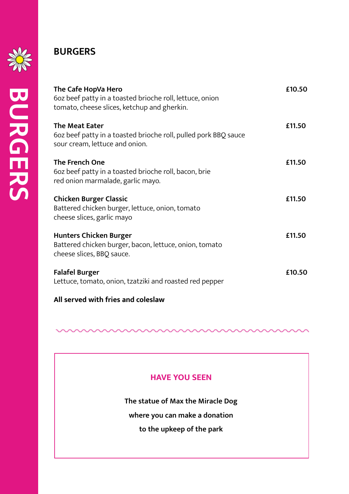

**BURGERS**

**BURGERS** 

## **BURGERS**

| The Cafe HopVa Hero<br>602 beef patty in a toasted brioche roll, lettuce, onion<br>tomato, cheese slices, ketchup and gherkin. | £10.50 |
|--------------------------------------------------------------------------------------------------------------------------------|--------|
| <b>The Meat Eater</b><br>602 beef patty in a toasted brioche roll, pulled pork BBQ sauce<br>sour cream, lettuce and onion.     | £11.50 |
| <b>The French One</b><br>602 beef patty in a toasted brioche roll, bacon, brie<br>red onion marmalade, garlic mayo.            | £11.50 |
| <b>Chicken Burger Classic</b><br>Battered chicken burger, lettuce, onion, tomato<br>cheese slices, garlic mayo                 | £11.50 |
| <b>Hunters Chicken Burger</b><br>Battered chicken burger, bacon, lettuce, onion, tomato<br>cheese slices, BBQ sauce.           | £11.50 |
| <b>Falafel Burger</b><br>Lettuce, tomato, onion, tzatziki and roasted red pepper                                               | £10.50 |
| All served with fries and coleslaw                                                                                             |        |



**The statue of Max the Miracle Dog**

**where you can make a donation**

**to the upkeep of the park**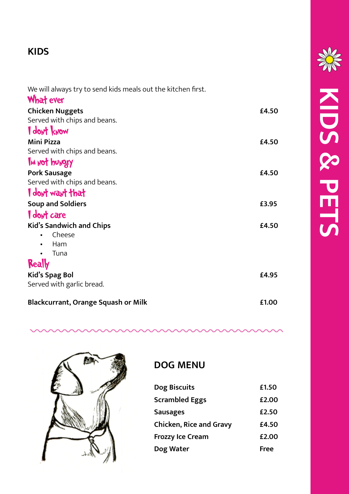## **KIDS**

We will always try to send kids meals out the kitchen first.

| <b>What ever</b>                           |       |
|--------------------------------------------|-------|
| <b>Chicken Nuggets</b>                     | £4.50 |
| Served with chips and beans.               |       |
| <b>I</b> don't know                        |       |
| <b>Mini Pizza</b>                          | £4.50 |
| Served with chips and beans.               |       |
| IM NOT bUNDTY                              |       |
| <b>Pork Sausage</b>                        | £4.50 |
| Served with chips and beans.               |       |
| I dont want that                           |       |
| <b>Soup and Soldiers</b>                   | £3.95 |
| I dont care                                |       |
| <b>Kid's Sandwich and Chips</b>            | £4.50 |
| Cheese                                     |       |
| Ham                                        |       |
| Tuna                                       |       |
| Really                                     |       |
| <b>Kid's Spag Bol</b>                      | £4.95 |
| Served with garlic bread.                  |       |
| <b>Blackcurrant, Orange Squash or Milk</b> | £1.00 |



## **DOG MENU**

| Dog Biscuits                   | £1.50 |
|--------------------------------|-------|
| <b>Scrambled Eggs</b>          | £2.00 |
| <b>Sausages</b>                | £2.50 |
| <b>Chicken, Rice and Gravy</b> | £4.50 |
| <b>Frozzy Ice Cream</b>        | £2.00 |
| Dog Water                      | Free  |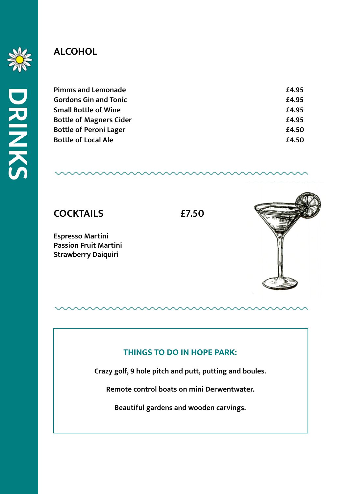

**DRINKS**

## **ALCOHOL**

| <b>Pimms and Lemonade</b>      | £4.95 |
|--------------------------------|-------|
| <b>Gordons Gin and Tonic</b>   | £4.95 |
| <b>Small Bottle of Wine</b>    | £4.95 |
| <b>Bottle of Magners Cider</b> | £4.95 |
| <b>Bottle of Peroni Lager</b>  | £4.50 |
| <b>Bottle of Local Ale</b>     | £4.50 |
|                                |       |



**Espresso Martini Passion Fruit Martini Strawberry Daiquiri**

### **THINGS TO DO IN HOPE PARK:**

**Crazy golf, 9 hole pitch and putt, putting and boules.**

**Remote control boats on mini Derwentwater.**

**Beautiful gardens and wooden carvings.**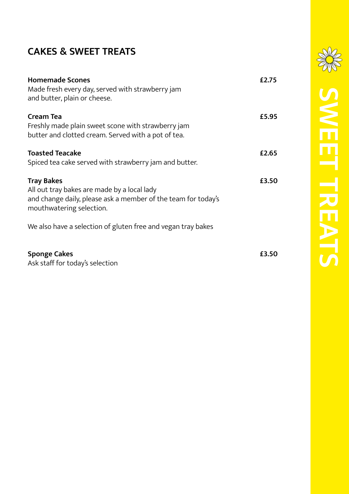## **CAKES & SWEET TREATS**

| <b>Homemade Scones</b><br>Made fresh every day, served with strawberry jam<br>and butter, plain or cheese.                                                    | £2.75 |
|---------------------------------------------------------------------------------------------------------------------------------------------------------------|-------|
| <b>Cream Tea</b><br>Freshly made plain sweet scone with strawberry jam<br>butter and clotted cream. Served with a pot of tea.                                 | £5.95 |
| <b>Toasted Teacake</b><br>Spiced tea cake served with strawberry jam and butter.                                                                              | £2.65 |
| <b>Tray Bakes</b><br>All out tray bakes are made by a local lady<br>and change daily, please ask a member of the team for today's<br>mouthwatering selection. | £3.50 |
| We also have a selection of gluten free and vegan tray bakes                                                                                                  |       |
| <b>Sponge Cakes</b>                                                                                                                                           | £3.50 |

Ask staff for today's selection

**SWEET TREATS**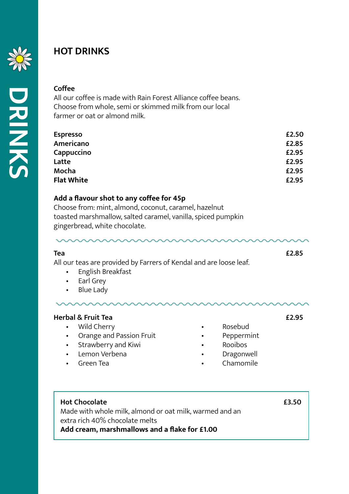

**DRINKS**

## **HOT DRINKS**

#### **Coffee**

All our coffee is made with Rain Forest Alliance coffee beans. Choose from whole, semi or skimmed milk from our local farmer or oat or almond milk.

| £2.50 |
|-------|
| £2.85 |
| £2.95 |
| £2.95 |
| £2.95 |
| £2.95 |
|       |

#### **Add a flavour shot to any coffee for 45p**

Choose from: mint, almond, coconut, caramel, hazelnut toasted marshmallow, salted caramel, vanilla, spiced pumpkin gingerbread, white chocolate.

**Tea £2.85** All our teas are provided by Farrers of Kendal and are loose leaf.

- English Breakfast
- Earl Grey
- Blue Lady

#### **Herbal & Fruit Tea £2.95**

- 
- 
- 
- 

- 
- 
- Lemon Verbena **• •** Dragonwell
- Green Tea Chamomile
- **Hot Chocolate £3.50**

Made with whole milk, almond or oat milk, warmed and an extra rich 40% chocolate melts **Add cream, marshmallows and a flake for £1.00**

- Wild Cherry **•** Rosebud
	- Orange and Passion Fruit Peppermint
- Strawberry and Kiwi **•** Rooibos
-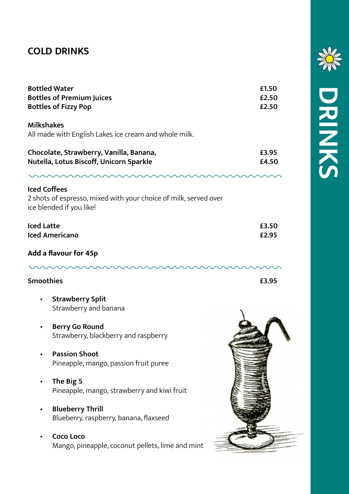## **COLD DRINKS**

|                     | <b>Bottled Water</b><br><b>Bottles of Premium Juices</b><br><b>Bottles of Fizzy Pop</b>      | £1.50<br>£2.50<br>£2.50 |
|---------------------|----------------------------------------------------------------------------------------------|-------------------------|
| <b>Milkshakes</b>   | All made with English Lakes ice cream and whole milk.                                        |                         |
|                     | Chocolate, Strawberry, Vanilla, Banana,<br>Nutella, Lotus Biscoff, Unicorn Sparkle           | £3.95<br>£4.50          |
| <b>Iced Coffees</b> | 2 shots of espresso, mixed with your choice of milk, served over<br>ice blended if you like! |                         |
| <b>Iced Latte</b>   | <b>Iced Americano</b>                                                                        | £3.50<br>£2.95          |
|                     | Add a flavour for 45p                                                                        |                         |
| <b>Smoothies</b>    |                                                                                              | £3.95                   |
|                     | <b>Strawberry Split</b><br>Strawberry and banana                                             |                         |
|                     | <b>Berry Go Round</b><br>Strawberry, blackberry and raspberry                                |                         |
|                     | <b>Passion Shoot</b><br>Pineapple, mango, passion fruit puree                                |                         |
|                     | The Big 5<br>Pineapple, mango, strawberry and kiwi fruit                                     |                         |
|                     | <b>Blueberry Thrill</b><br>Blueberry, raspberry, banana, flaxseed                            |                         |
|                     | Coco Loco<br>Mango, pineapple, coconut pellets, lime and mint                                |                         |